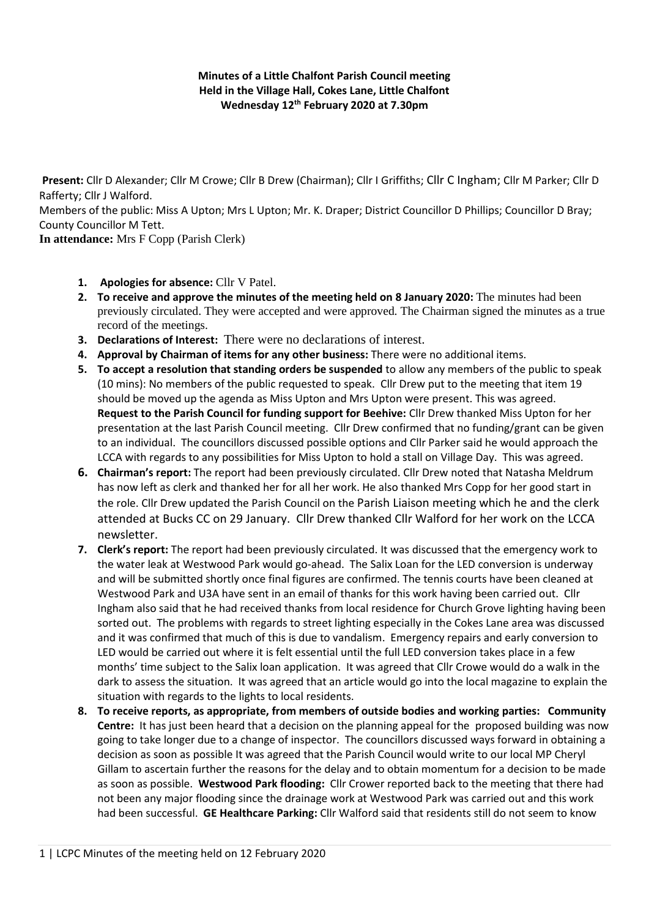## **Minutes of a Little Chalfont Parish Council meeting Held in the Village Hall, Cokes Lane, Little Chalfont Wednesday 12th February 2020 at 7.30pm**

**Present:** Cllr D Alexander; Cllr M Crowe; Cllr B Drew (Chairman); Cllr I Griffiths; Cllr C Ingham; Cllr M Parker; Cllr D Rafferty; Cllr J Walford.

Members of the public: Miss A Upton; Mrs L Upton; Mr. K. Draper; District Councillor D Phillips; Councillor D Bray; County Councillor M Tett.

**In attendance:** Mrs F Copp (Parish Clerk)

- **1. Apologies for absence:** Cllr V Patel.
- **2. To receive and approve the minutes of the meeting held on 8 January 2020:** The minutes had been previously circulated. They were accepted and were approved. The Chairman signed the minutes as a true record of the meetings.
- **3. Declarations of Interest:** There were no declarations of interest.
- **4. Approval by Chairman of items for any other business:** There were no additional items.
- **5. To accept a resolution that standing orders be suspended** to allow any members of the public to speak (10 mins): No members of the public requested to speak. Cllr Drew put to the meeting that item 19 should be moved up the agenda as Miss Upton and Mrs Upton were present. This was agreed. **Request to the Parish Council for funding support for Beehive:** Cllr Drew thanked Miss Upton for her presentation at the last Parish Council meeting. Cllr Drew confirmed that no funding/grant can be given to an individual. The councillors discussed possible options and Cllr Parker said he would approach the LCCA with regards to any possibilities for Miss Upton to hold a stall on Village Day. This was agreed.
- **6. Chairman's report:** The report had been previously circulated. Cllr Drew noted that Natasha Meldrum has now left as clerk and thanked her for all her work. He also thanked Mrs Copp for her good start in the role. Cllr Drew updated the Parish Council on the Parish Liaison meeting which he and the clerk attended at Bucks CC on 29 January. Cllr Drew thanked Cllr Walford for her work on the LCCA newsletter.
- **7. Clerk's report:** The report had been previously circulated. It was discussed that the emergency work to the water leak at Westwood Park would go-ahead. The Salix Loan for the LED conversion is underway and will be submitted shortly once final figures are confirmed. The tennis courts have been cleaned at Westwood Park and U3A have sent in an email of thanks for this work having been carried out. Cllr Ingham also said that he had received thanks from local residence for Church Grove lighting having been sorted out. The problems with regards to street lighting especially in the Cokes Lane area was discussed and it was confirmed that much of this is due to vandalism. Emergency repairs and early conversion to LED would be carried out where it is felt essential until the full LED conversion takes place in a few months' time subject to the Salix loan application. It was agreed that Cllr Crowe would do a walk in the dark to assess the situation. It was agreed that an article would go into the local magazine to explain the situation with regards to the lights to local residents.
- **8. To receive reports, as appropriate, from members of outside bodies and working parties: Community Centre:** It has just been heard that a decision on the planning appeal for the proposed building was now going to take longer due to a change of inspector. The councillors discussed ways forward in obtaining a decision as soon as possible It was agreed that the Parish Council would write to our local MP Cheryl Gillam to ascertain further the reasons for the delay and to obtain momentum for a decision to be made as soon as possible. **Westwood Park flooding:** Cllr Crower reported back to the meeting that there had not been any major flooding since the drainage work at Westwood Park was carried out and this work had been successful. **GE Healthcare Parking:** Cllr Walford said that residents still do not seem to know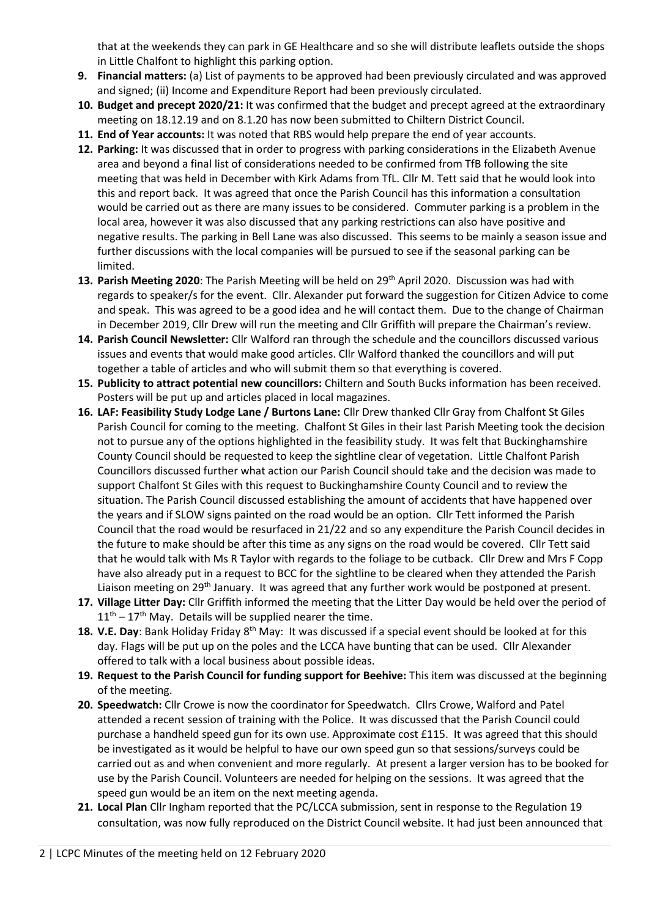that at the weekends they can park in GE Healthcare and so she will distribute leaflets outside the shops in Little Chalfont to highlight this parking option.

- **9. Financial matters:** (a) List of payments to be approved had been previously circulated and was approved and signed; (ii) Income and Expenditure Report had been previously circulated.
- **10. Budget and precept 2020/21:** It was confirmed that the budget and precept agreed at the extraordinary meeting on 18.12.19 and on 8.1.20 has now been submitted to Chiltern District Council.
- **11. End of Year accounts:** It was noted that RBS would help prepare the end of year accounts.
- **12. Parking:** It was discussed that in order to progress with parking considerations in the Elizabeth Avenue area and beyond a final list of considerations needed to be confirmed from TfB following the site meeting that was held in December with Kirk Adams from TfL. Cllr M. Tett said that he would look into this and report back. It was agreed that once the Parish Council has this information a consultation would be carried out as there are many issues to be considered. Commuter parking is a problem in the local area, however it was also discussed that any parking restrictions can also have positive and negative results. The parking in Bell Lane was also discussed. This seems to be mainly a season issue and further discussions with the local companies will be pursued to see if the seasonal parking can be limited.
- 13. Parish Meeting 2020: The Parish Meeting will be held on 29<sup>th</sup> April 2020. Discussion was had with regards to speaker/s for the event. Cllr. Alexander put forward the suggestion for Citizen Advice to come and speak. This was agreed to be a good idea and he will contact them. Due to the change of Chairman in December 2019, Cllr Drew will run the meeting and Cllr Griffith will prepare the Chairman's review.
- **14. Parish Council Newsletter:** Cllr Walford ran through the schedule and the councillors discussed various issues and events that would make good articles. Cllr Walford thanked the councillors and will put together a table of articles and who will submit them so that everything is covered.
- **15. Publicity to attract potential new councillors:** Chiltern and South Bucks information has been received. Posters will be put up and articles placed in local magazines.
- **16. LAF: Feasibility Study Lodge Lane / Burtons Lane:** Cllr Drew thanked Cllr Gray from Chalfont St Giles Parish Council for coming to the meeting. Chalfont St Giles in their last Parish Meeting took the decision not to pursue any of the options highlighted in the feasibility study. It was felt that Buckinghamshire County Council should be requested to keep the sightline clear of vegetation. Little Chalfont Parish Councillors discussed further what action our Parish Council should take and the decision was made to support Chalfont St Giles with this request to Buckinghamshire County Council and to review the situation. The Parish Council discussed establishing the amount of accidents that have happened over the years and if SLOW signs painted on the road would be an option. Cllr Tett informed the Parish Council that the road would be resurfaced in 21/22 and so any expenditure the Parish Council decides in the future to make should be after this time as any signs on the road would be covered. Cllr Tett said that he would talk with Ms R Taylor with regards to the foliage to be cutback. Cllr Drew and Mrs F Copp have also already put in a request to BCC for the sightline to be cleared when they attended the Parish Liaison meeting on 29<sup>th</sup> January. It was agreed that any further work would be postponed at present.
- **17. Village Litter Day:** Cllr Griffith informed the meeting that the Litter Day would be held over the period of  $11<sup>th</sup> - 17<sup>th</sup>$  May. Details will be supplied nearer the time.
- **18. V.E. Day**: Bank Holiday Friday 8th May: It was discussed if a special event should be looked at for this day. Flags will be put up on the poles and the LCCA have bunting that can be used. Cllr Alexander offered to talk with a local business about possible ideas.
- **19. Request to the Parish Council for funding support for Beehive:** This item was discussed at the beginning of the meeting.
- **20. Speedwatch:** Cllr Crowe is now the coordinator for Speedwatch. Cllrs Crowe, Walford and Patel attended a recent session of training with the Police. It was discussed that the Parish Council could purchase a handheld speed gun for its own use. Approximate cost £115. It was agreed that this should be investigated as it would be helpful to have our own speed gun so that sessions/surveys could be carried out as and when convenient and more regularly. At present a larger version has to be booked for use by the Parish Council. Volunteers are needed for helping on the sessions. It was agreed that the speed gun would be an item on the next meeting agenda.
- **21. Local Plan** Cllr Ingham reported that the PC/LCCA submission, sent in response to the Regulation 19 consultation, was now fully reproduced on the District Council website. It had just been announced that